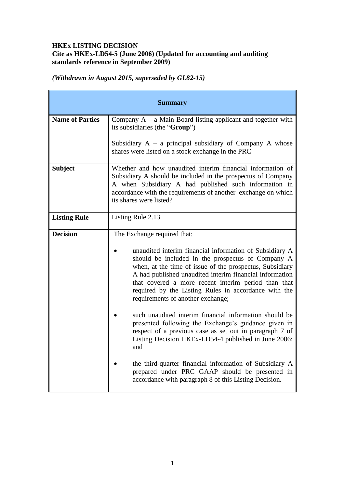## **HKEx LISTING DECISION Cite as HKEx-LD54-5 (June 2006) (Updated for accounting and auditing standards reference in September 2009)**

*(Withdrawn in August 2015, superseded by GL82-15)*

| <b>Summary</b>         |                                                                                                                                                                                                                                                                                                                                                                                                                                                                                                                                                                                                                                                                                                                                                                                                                                          |
|------------------------|------------------------------------------------------------------------------------------------------------------------------------------------------------------------------------------------------------------------------------------------------------------------------------------------------------------------------------------------------------------------------------------------------------------------------------------------------------------------------------------------------------------------------------------------------------------------------------------------------------------------------------------------------------------------------------------------------------------------------------------------------------------------------------------------------------------------------------------|
| <b>Name of Parties</b> | Company $A - a$ Main Board listing applicant and together with<br>its subsidiaries (the "Group")                                                                                                                                                                                                                                                                                                                                                                                                                                                                                                                                                                                                                                                                                                                                         |
|                        | Subsidiary $A - a$ principal subsidiary of Company A whose<br>shares were listed on a stock exchange in the PRC                                                                                                                                                                                                                                                                                                                                                                                                                                                                                                                                                                                                                                                                                                                          |
| <b>Subject</b>         | Whether and how unaudited interim financial information of<br>Subsidiary A should be included in the prospectus of Company<br>A when Subsidiary A had published such information in<br>accordance with the requirements of another exchange on which<br>its shares were listed?                                                                                                                                                                                                                                                                                                                                                                                                                                                                                                                                                          |
| <b>Listing Rule</b>    | Listing Rule 2.13                                                                                                                                                                                                                                                                                                                                                                                                                                                                                                                                                                                                                                                                                                                                                                                                                        |
| <b>Decision</b>        | The Exchange required that:<br>unaudited interim financial information of Subsidiary A<br>should be included in the prospectus of Company A<br>when, at the time of issue of the prospectus, Subsidiary<br>A had published unaudited interim financial information<br>that covered a more recent interim period than that<br>required by the Listing Rules in accordance with the<br>requirements of another exchange;<br>such unaudited interim financial information should be<br>presented following the Exchange's guidance given in<br>respect of a previous case as set out in paragraph 7 of<br>Listing Decision HKEx-LD54-4 published in June 2006;<br>and<br>the third-quarter financial information of Subsidiary A<br>prepared under PRC GAAP should be presented in<br>accordance with paragraph 8 of this Listing Decision. |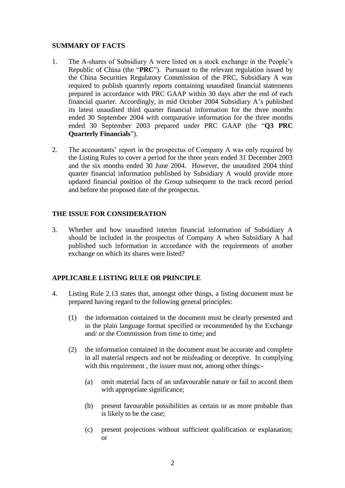#### **SUMMARY OF FACTS**

- 1. The A-shares of Subsidiary A were listed on a stock exchange in the People's Republic of China (the "**PRC**"). Pursuant to the relevant regulation issued by the China Securities Regulatory Commission of the PRC, Subsidiary A was required to publish quarterly reports containing unaudited financial statements prepared in accordance with PRC GAAP within 30 days after the end of each financial quarter. Accordingly, in mid October 2004 Subsidiary A's published its latest unaudited third quarter financial information for the three months ended 30 September 2004 with comparative information for the three months ended 30 September 2003 prepared under PRC GAAP (the "**Q3 PRC Quarterly Financials**").
- 2. The accountants' report in the prospectus of Company A was only required by the Listing Rules to cover a period for the three years ended 31 December 2003 and the six months ended 30 June 2004. However, the unaudited 2004 third quarter financial information published by Subsidiary A would provide more updated financial position of the Group subsequent to the track record period and before the proposed date of the prospectus.

### **THE ISSUE FOR CONSIDERATION**

3. Whether and how unaudited interim financial information of Subsidiary A should be included in the prospectus of Company A when Subsidiary A had published such information in accordance with the requirements of another exchange on which its shares were listed?

### **APPLICABLE LISTING RULE OR PRINCIPLE**

- 4. Listing Rule 2.13 states that, amongst other things, a listing document must be prepared having regard to the following general principles:
	- (1) the information contained in the document must be clearly presented and in the plain language format specified or recommended by the Exchange and/ or the Commission from time to time; and
	- (2) the information contained in the document must be accurate and complete in all material respects and not be misleading or deceptive. In complying with this requirement, the issuer must not, among other things:-
		- (a) omit material facts of an unfavourable nature or fail to accord them with appropriate significance;
		- (b) present favourable possibilities as certain or as more probable than is likely to be the case;
		- (c) present projections without sufficient qualification or explanation; or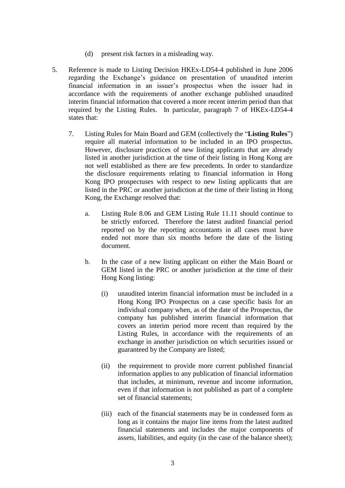- (d) present risk factors in a misleading way.
- 5. Reference is made to Listing Decision HKEx-LD54-4 published in June 2006 regarding the Exchange's guidance on presentation of unaudited interim financial information in an issuer's prospectus when the issuer had in accordance with the requirements of another exchange published unaudited interim financial information that covered a more recent interim period than that required by the Listing Rules. In particular, paragraph 7 of HKEx-LD54-4 states that:
	- 7. Listing Rules for Main Board and GEM (collectively the "**Listing Rules**") require all material information to be included in an IPO prospectus. However, disclosure practices of new listing applicants that are already listed in another jurisdiction at the time of their listing in Hong Kong are not well established as there are few precedents. In order to standardize the disclosure requirements relating to financial information in Hong Kong IPO prospectuses with respect to new listing applicants that are listed in the PRC or another jurisdiction at the time of their listing in Hong Kong, the Exchange resolved that:
		- a. Listing Rule 8.06 and GEM Listing Rule 11.11 should continue to be strictly enforced. Therefore the latest audited financial period reported on by the reporting accountants in all cases must have ended not more than six months before the date of the listing document.
		- b. In the case of a new listing applicant on either the Main Board or GEM listed in the PRC or another jurisdiction at the time of their Hong Kong listing:
			- (i) unaudited interim financial information must be included in a Hong Kong IPO Prospectus on a case specific basis for an individual company when, as of the date of the Prospectus, the company has published interim financial information that covers an interim period more recent than required by the Listing Rules, in accordance with the requirements of an exchange in another jurisdiction on which securities issued or guaranteed by the Company are listed;
			- (ii) the requirement to provide more current published financial information applies to any publication of financial information that includes, at minimum, revenue and income information, even if that information is not published as part of a complete set of financial statements;
			- (iii) each of the financial statements may be in condensed form as long as it contains the major line items from the latest audited financial statements and includes the major components of assets, liabilities, and equity (in the case of the balance sheet);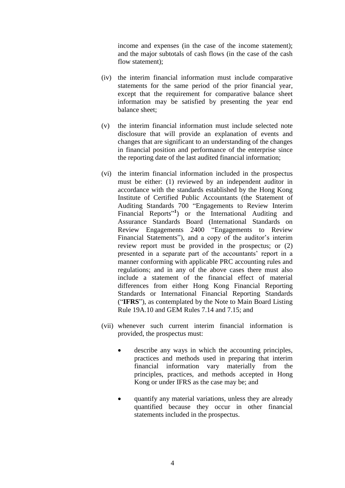income and expenses (in the case of the income statement); and the major subtotals of cash flows (in the case of the cash flow statement):

- (iv) the interim financial information must include comparative statements for the same period of the prior financial year, except that the requirement for comparative balance sheet information may be satisfied by presenting the year end balance sheet;
- (v) the interim financial information must include selected note disclosure that will provide an explanation of events and changes that are significant to an understanding of the changes in financial position and performance of the enterprise since the reporting date of the last audited financial information;
- (vi) the interim financial information included in the prospectus must be either: (1) reviewed by an independent auditor in accordance with the standards established by the Hong Kong Institute of Certified Public Accountants (the Statement of Auditing Standards 700 "Engagements to Review Interim Financial Reports<sup>"1</sup>) or the International Auditing and Assurance Standards Board (International Standards on Review Engagements 2400 "Engagements to Review Financial Statements"), and a copy of the auditor's interim review report must be provided in the prospectus; or (2) presented in a separate part of the accountants' report in a manner conforming with applicable PRC accounting rules and regulations; and in any of the above cases there must also include a statement of the financial effect of material differences from either Hong Kong Financial Reporting Standards or International Financial Reporting Standards ("**IFRS**"), as contemplated by the Note to Main Board Listing Rule 19A.10 and GEM Rules 7.14 and 7.15; and
- (vii) whenever such current interim financial information is provided, the prospectus must:
	- describe any ways in which the accounting principles, practices and methods used in preparing that interim financial information vary materially from the principles, practices, and methods accepted in Hong Kong or under IFRS as the case may be; and
	- quantify any material variations, unless they are already quantified because they occur in other financial statements included in the prospectus.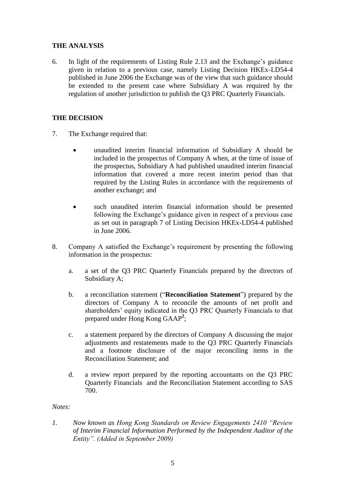## **THE ANALYSIS**

6. In light of the requirements of Listing Rule 2.13 and the Exchange's guidance given in relation to a previous case, namely Listing Decision HKEx-LD54-4 published in June 2006 the Exchange was of the view that such guidance should be extended to the present case where Subsidiary A was required by the regulation of another jurisdiction to publish the Q3 PRC Quarterly Financials.

# **THE DECISION**

- 7. The Exchange required that:
	- unaudited interim financial information of Subsidiary A should be included in the prospectus of Company A when, at the time of issue of the prospectus, Subsidiary A had published unaudited interim financial information that covered a more recent interim period than that required by the Listing Rules in accordance with the requirements of another exchange; and
	- such unaudited interim financial information should be presented following the Exchange's guidance given in respect of a previous case as set out in paragraph 7 of Listing Decision HKEx-LD54-4 published in June 2006.
- 8. Company A satisfied the Exchange's requirement by presenting the following information in the prospectus:
	- a. a set of the Q3 PRC Quarterly Financials prepared by the directors of Subsidiary A;
	- b. a reconciliation statement ("**Reconciliation Statement**") prepared by the directors of Company A to reconcile the amounts of net profit and shareholders' equity indicated in the Q3 PRC Quarterly Financials to that prepared under Hong Kong GAAP**<sup>2</sup>** ;
	- c. a statement prepared by the directors of Company A discussing the major adjustments and restatements made to the Q3 PRC Quarterly Financials and a footnote disclosure of the major reconciling items in the Reconciliation Statement; and
	- d. a review report prepared by the reporting accountants on the Q3 PRC Quarterly Financials and the Reconciliation Statement according to SAS 700.

#### *Notes:*

*1. Now known as Hong Kong Standards on Review Engagements 2410 "Review of Interim Financial Information Performed by the Independent Auditor of the Entity". (Added in September 2009)*